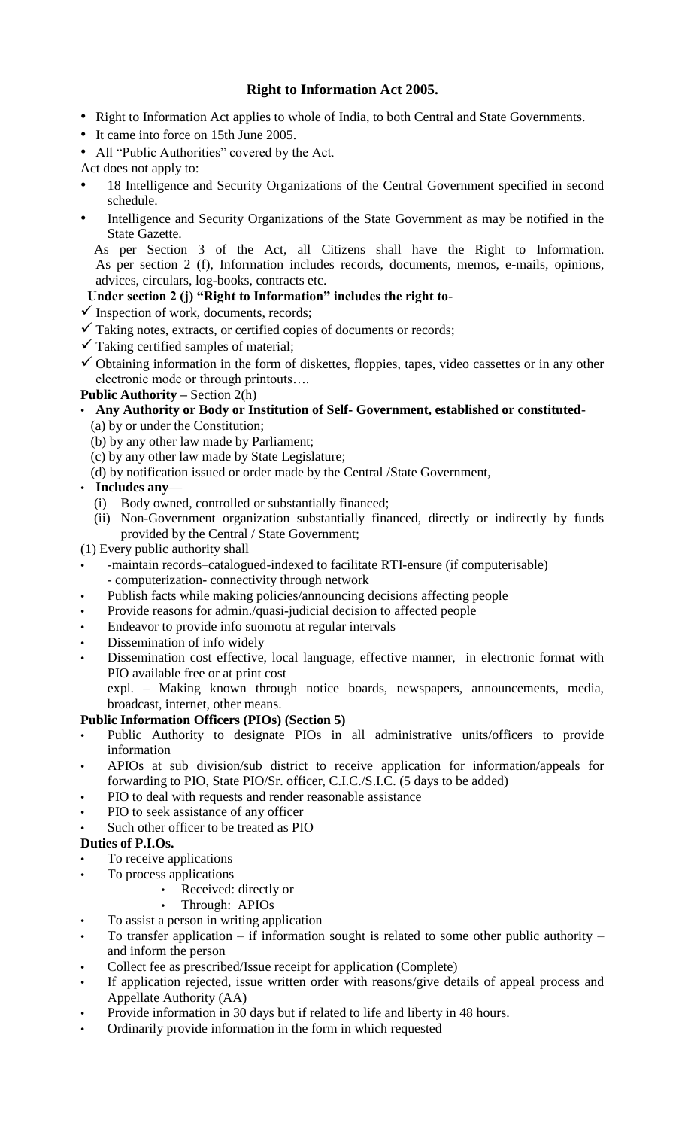# **Right to Information Act 2005.**

- Right to Information Act applies to whole of India, to both Central and State Governments.
- It came into force on 15th June 2005.
- All "Public Authorities" covered by the Act.
- Act does not apply to:
- 18 Intelligence and Security Organizations of the Central Government specified in second schedule.
- Intelligence and Security Organizations of the State Government as may be notified in the State Gazette.

As per Section 3 of the Act, all Citizens shall have the Right to Information. As per section 2 (f), Information includes records, documents, memos, e-mails, opinions, advices, circulars, log-books, contracts etc.

# **Under section 2 (j) "Right to Information" includes the right to-**

- $\checkmark$  Inspection of work, documents, records;
- $\checkmark$  Taking notes, extracts, or certified copies of documents or records;
- $\checkmark$  Taking certified samples of material;
- $\checkmark$  Obtaining information in the form of diskettes, floppies, tapes, video cassettes or in any other electronic mode or through printouts….

# **Public Authority –** Section 2(h)

# • **Any Authority or Body or Institution of Self- Government, established or constituted**-

- (a) by or under the Constitution;
- (b) by any other law made by Parliament;
- (c) by any other law made by State Legislature;
- (d) by notification issued or order made by the Central /State Government,

# • **Includes any**—

- (i) Body owned, controlled or substantially financed;
- (ii) Non-Government organization substantially financed, directly or indirectly by funds provided by the Central / State Government;
- (1) Every public authority shall
- -maintain records–catalogued-indexed to facilitate RTI-ensure (if computerisable) - computerization- connectivity through network
- Publish facts while making policies/announcing decisions affecting people
- Provide reasons for admin./quasi-judicial decision to affected people
- Endeavor to provide info suomotu at regular intervals
- Dissemination of info widely
- Dissemination cost effective, local language, effective manner, in electronic format with PIO available free or at print cost

 expl. – Making known through notice boards, newspapers, announcements, media, broadcast, internet, other means.

## **Public Information Officers (PIOs) (Section 5)**

- Public Authority to designate PIOs in all administrative units/officers to provide information
- APIOs at sub division/sub district to receive application for information/appeals for forwarding to PIO, State PIO/Sr. officer, C.I.C./S.I.C. (5 days to be added)
- PIO to deal with requests and render reasonable assistance
- PIO to seek assistance of any officer
- Such other officer to be treated as PIO

## **Duties of P.I.Os.**

- To receive applications
- To process applications
	- Received: directly or
	- Through: APIOs
- To assist a person in writing application
- To transfer application if information sought is related to some other public authority and inform the person
- Collect fee as prescribed/Issue receipt for application (Complete)
- If application rejected, issue written order with reasons/give details of appeal process and Appellate Authority (AA)
- Provide information in 30 days but if related to life and liberty in 48 hours.
- Ordinarily provide information in the form in which requested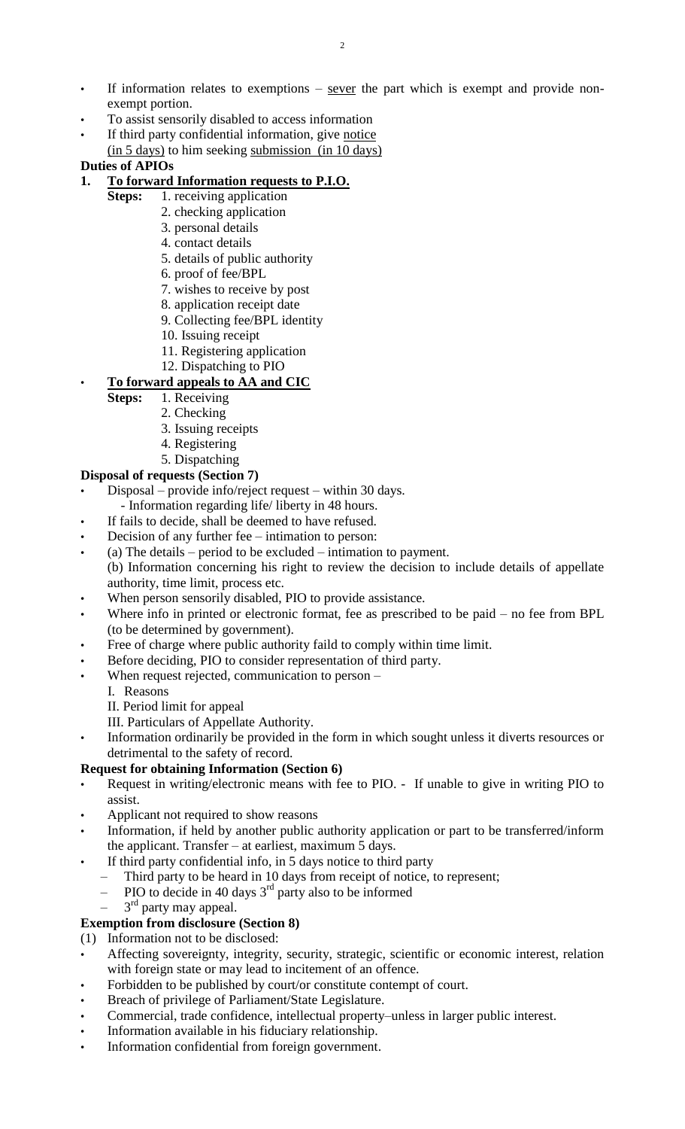- If information relates to exemptions  $-$  sever the part which is exempt and provide nonexempt portion.
- To assist sensorily disabled to access information
- If third party confidential information, give notice (in 5 days) to him seeking submission (in 10 days)

### **Duties of APIOs**

# **1. To forward Information requests to P.I.O.**

- **Steps:** 1. receiving application
	- 2. checking application
	- 3. personal details
	- 4. contact details
	- 5. details of public authority
	- 6. proof of fee/BPL
	- 7. wishes to receive by post
	- 8. application receipt date
	- 9. Collecting fee/BPL identity
	- 10. Issuing receipt
	- 11. Registering application
	- 12. Dispatching to PIO

# • **To forward appeals to AA and CIC**

- **Steps:** 1. Receiving
	- 2. Checking
	- 3. Issuing receipts
	- 4. Registering
	- 5. Dispatching

## **Disposal of requests (Section 7)**

- Disposal provide info/reject request within 30 days.
	- Information regarding life/ liberty in 48 hours.
- If fails to decide, shall be deemed to have refused.
- Decision of any further fee intimation to person:
- (a) The details period to be excluded intimation to payment. (b) Information concerning his right to review the decision to include details of appellate authority, time limit, process etc.
- When person sensorily disabled, PIO to provide assistance.
- Where info in printed or electronic format, fee as prescribed to be paid no fee from BPL (to be determined by government).
- Free of charge where public authority faild to comply within time limit.
- Before deciding, PIO to consider representation of third party.
- When request rejected, communication to person
	- I. Reasons
	- II. Period limit for appeal
	- III. Particulars of Appellate Authority.
- Information ordinarily be provided in the form in which sought unless it diverts resources or detrimental to the safety of record.

## **Request for obtaining Information (Section 6)**

- Request in writing/electronic means with fee to PIO. If unable to give in writing PIO to assist.
- Applicant not required to show reasons
- Information, if held by another public authority application or part to be transferred/inform the applicant. Transfer – at earliest, maximum 5 days.
- If third party confidential info, in 5 days notice to third party
	- Third party to be heard in 10 days from receipt of notice, to represent;
	- PIO to decide in 40 days  $3<sup>rd</sup>$  party also to be informed
	- $-$  3<sup>rd</sup> party may appeal.

# **Exemption from disclosure (Section 8)**

- (1) Information not to be disclosed:
- Affecting sovereignty, integrity, security, strategic, scientific or economic interest, relation with foreign state or may lead to incitement of an offence.
- Forbidden to be published by court/or constitute contempt of court.
- Breach of privilege of Parliament/State Legislature.
- Commercial, trade confidence, intellectual property–unless in larger public interest.
- Information available in his fiduciary relationship.
- Information confidential from foreign government.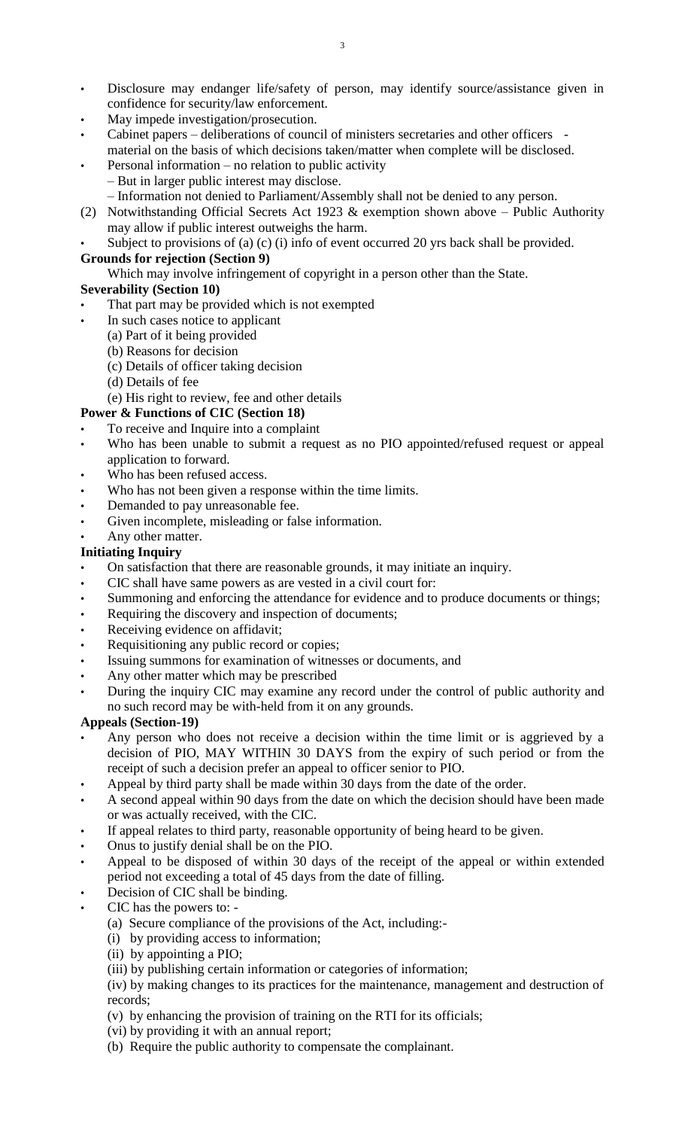- Disclosure may endanger life/safety of person, may identify source/assistance given in confidence for security/law enforcement.
- May impede investigation/prosecution.
- Cabinet papers deliberations of council of ministers secretaries and other officers material on the basis of which decisions taken/matter when complete will be disclosed.
- Personal information  $-$  no relation to public activity – But in larger public interest may disclose.
	- Information not denied to Parliament/Assembly shall not be denied to any person.
- (2) Notwithstanding Official Secrets Act 1923 & exemption shown above Public Authority may allow if public interest outweighs the harm.
- Subject to provisions of (a) (c) (i) info of event occurred 20 yrs back shall be provided.

#### **Grounds for rejection (Section 9)**

Which may involve infringement of copyright in a person other than the State.

### **Severability (Section 10)**

- That part may be provided which is not exempted
- In such cases notice to applicant
	- (a) Part of it being provided
	- (b) Reasons for decision
	- (c) Details of officer taking decision
	- (d) Details of fee
	- (e) His right to review, fee and other details

### **Power & Functions of CIC (Section 18)**

- To receive and Inquire into a complaint
- Who has been unable to submit a request as no PIO appointed/refused request or appeal application to forward.
- Who has been refused access.
- Who has not been given a response within the time limits.
- Demanded to pay unreasonable fee.
- Given incomplete, misleading or false information.
- Any other matter.

### **Initiating Inquiry**

- On satisfaction that there are reasonable grounds, it may initiate an inquiry.
- CIC shall have same powers as are vested in a civil court for:
- Summoning and enforcing the attendance for evidence and to produce documents or things;
- Requiring the discovery and inspection of documents;
- Receiving evidence on affidavit;
- Requisitioning any public record or copies;
- Issuing summons for examination of witnesses or documents, and
- Any other matter which may be prescribed
- During the inquiry CIC may examine any record under the control of public authority and no such record may be with-held from it on any grounds.

## **Appeals (Section-19)**

- Any person who does not receive a decision within the time limit or is aggrieved by a decision of PIO, MAY WITHIN 30 DAYS from the expiry of such period or from the receipt of such a decision prefer an appeal to officer senior to PIO.
- Appeal by third party shall be made within 30 days from the date of the order.
- A second appeal within 90 days from the date on which the decision should have been made or was actually received, with the CIC.
- If appeal relates to third party, reasonable opportunity of being heard to be given.
- Onus to justify denial shall be on the PIO.
- Appeal to be disposed of within 30 days of the receipt of the appeal or within extended period not exceeding a total of 45 days from the date of filling.
- Decision of CIC shall be binding.
- CIC has the powers to:
	- (a) Secure compliance of the provisions of the Act, including:-
	- (i) by providing access to information;
	- (ii) by appointing a PIO;
	- (iii) by publishing certain information or categories of information;

(iv) by making changes to its practices for the maintenance, management and destruction of records;

- (v) by enhancing the provision of training on the RTI for its officials;
- (vi) by providing it with an annual report;
- (b) Require the public authority to compensate the complainant.